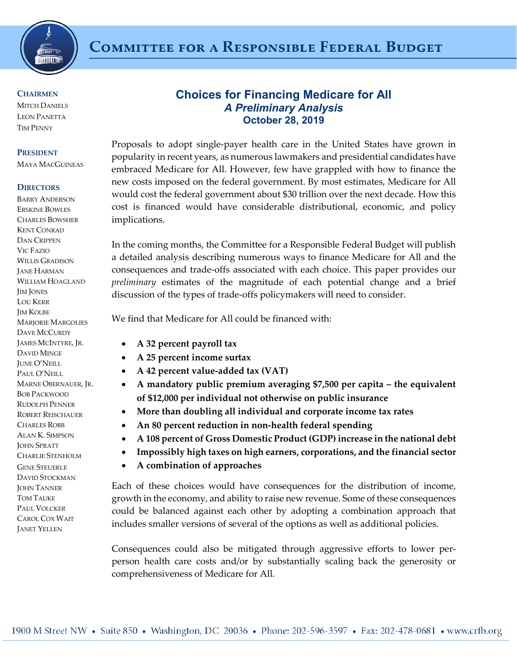

### **CHAIRMEN**

**MITCH DANIELS** LEON PANETTA TIM PENNY

#### **PRESIDENT**

MAYA MACGUINEAS

#### **DIRECTORS**

BARRY ANDERSON ERSKINE BOWLES CHARLES BOWSHER KENT CONRAD DAN CRIPPEN VIC FAZIO WILLIS GRADISON JANE HARMAN WILLIAM HOAGLAND JIM JONES LOU KERR JIM KOLBE MARJORIE MARGOLIES DAVE MCCURDY JAMES MCINTYRE, JR. DAVID MINGE JUNE O'NEILL PAUL O'NEILL MARNE OBERNAUER, JR. BOB PACKWOOD RUDOLPH PENNER ROBERT REISCHAUER CHARLES ROBB ALAN K. SIMPSON JOHN SPRATT CHARLIE STENHOLM GENE STEUERLE DAVID STOCKMAN **JOHN TANNER** TOM TAUKE PAUL VOLCKER CAROL COX WAIT JANET YELLEN

# **Choices for Financing Medicare for All** *A Preliminary Analysis* **October 28, 2019**

Proposals to adopt single-payer health care in the United States have grown in popularity in recent years, as numerous lawmakers and presidential candidates have embraced Medicare for All. However, few have grappled with how to finance the new costs imposed on the federal government. By most estimates, Medicare for All would cost the federal government about \$30 trillion over the next decade. How this cost is financed would have considerable distributional, economic, and policy implications.

In the coming months, the Committee for a Responsible Federal Budget will publish a detailed analysis describing numerous ways to finance Medicare for All and the consequences and trade-offs associated with each choice. This paper provides our *preliminary* estimates of the magnitude of each potential change and a brief discussion of the types of trade-offs policymakers will need to consider.

We find that Medicare for All could be financed with:

- **A 32 percent payroll tax**
- **A 25 percent income surtax**
- **A 42 percent value-added tax (VAT)**
- **A mandatory public premium averaging \$7,500 per capita – the equivalent of \$12,000 per individual not otherwise on public insurance**
- **More than doubling all individual and corporate income tax rates**
- **An 80 percent reduction in non-health federal spending**
- **A 108 percent of Gross Domestic Product (GDP) increase in the national debt**
- **Impossibly high taxes on high earners, corporations, and the financial sector**
- **A combination of approaches**

Each of these choices would have consequences for the distribution of income, growth in the economy, and ability to raise new revenue. Some of these consequences could be balanced against each other by adopting a combination approach that includes smaller versions of several of the options as well as additional policies.

Consequences could also be mitigated through aggressive efforts to lower perperson health care costs and/or by substantially scaling back the generosity or comprehensiveness of Medicare for All.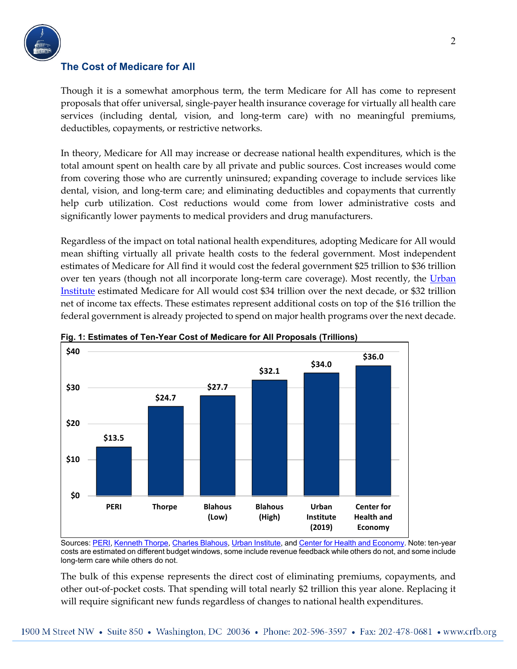

# **The Cost of Medicare for All**

Though it is a somewhat amorphous term, the term Medicare for All has come to represent proposals that offer universal, single-payer health insurance coverage for virtually all health care services (including dental, vision, and long-term care) with no meaningful premiums, deductibles, copayments, or restrictive networks.

In theory, Medicare for All may increase or decrease national health expenditures, which is the total amount spent on health care by all private and public sources. Cost increases would come from covering those who are currently uninsured; expanding coverage to include services like dental, vision, and long-term care; and eliminating deductibles and copayments that currently help curb utilization. Cost reductions would come from lower administrative costs and significantly lower payments to medical providers and drug manufacturers.

Regardless of the impact on total national health expenditures, adopting Medicare for All would mean shifting virtually all private health costs to the federal government. Most independent estimates of Medicare for All find it would cost the federal government \$25 trillion to \$36 trillion over ten years (though not all incorporate long-term care coverage). Most recently, the Urban [Institute](https://www.urban.org/research/publication/incremental-comprehensive-health-reform-how-various-reform-options-compare-coverage-and-costs) estimated Medicare for All would cost \$34 trillion over the next decade, or \$32 trillion net of income tax effects. These estimates represent additional costs on top of the \$16 trillion the federal government is already projected to spend on major health programs over the next decade.





Sources[: PERI,](https://www.peri.umass.edu/publication/item/1127-economic-analysis-of-medicare-for-all) [Kenneth Thorpe,](https://www.scribd.com/doc/296831690/Kenneth-Thorpe-s-analysis-of-Bernie-Sanders-s-single-payer-proposal) [Charles Blahous,](https://www.mercatus.org/system/files/blahous-costs-medicare-mercatus-working-paper-v1_1.pdf) [Urban Institute,](https://www.urban.org/research/publication/incremental-comprehensive-health-reform-how-various-reform-options-compare-coverage-and-costs) an[d Center for Health and Economy.](https://www.americanactionforum.org/research/the-green-new-deal-scope-scale-and-implications/) Note: ten-year costs are estimated on different budget windows, some include revenue feedback while others do not, and some include long-term care while others do not.

The bulk of this expense represents the direct cost of eliminating premiums, copayments, and other out-of-pocket costs. That spending will total nearly \$2 trillion this year alone. Replacing it will require significant new funds regardless of changes to national health expenditures.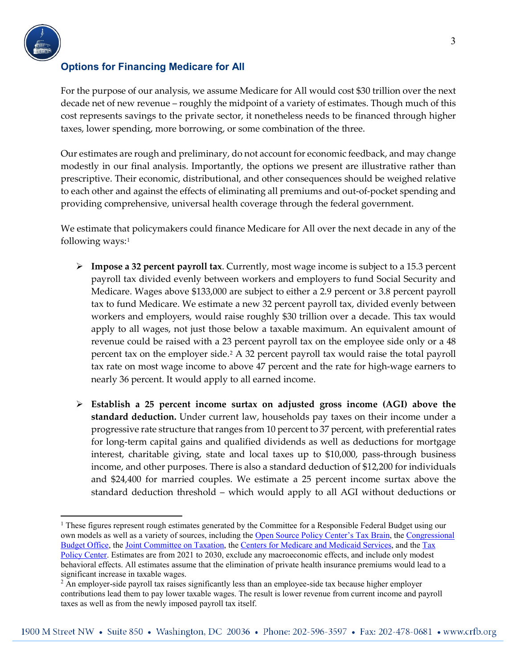

# **Options for Financing Medicare for All**

For the purpose of our analysis, we assume Medicare for All would cost \$30 trillion over the next decade net of new revenue – roughly the midpoint of a variety of estimates. Though much of this cost represents savings to the private sector, it nonetheless needs to be financed through higher taxes, lower spending, more borrowing, or some combination of the three.

Our estimates are rough and preliminary, do not account for economic feedback, and may change modestly in our final analysis. Importantly, the options we present are illustrative rather than prescriptive. Their economic, distributional, and other consequences should be weighed relative to each other and against the effects of eliminating all premiums and out-of-pocket spending and providing comprehensive, universal health coverage through the federal government.

We estimate that policymakers could finance Medicare for All over the next decade in any of the following ways:<sup>[1](#page-2-0)</sup>

- **Impose a 32 percent payroll tax**. Currently, most wage income is subject to a 15.3 percent payroll tax divided evenly between workers and employers to fund Social Security and Medicare. Wages above \$133,000 are subject to either a 2.9 percent or 3.8 percent payroll tax to fund Medicare. We estimate a new 32 percent payroll tax, divided evenly between workers and employers, would raise roughly \$30 trillion over a decade. This tax would apply to all wages, not just those below a taxable maximum. An equivalent amount of revenue could be raised with a 23 percent payroll tax on the employee side only or a 48 percent tax on the employer side[.2](#page-2-1) A 32 percent payroll tax would raise the total payroll tax rate on most wage income to above 47 percent and the rate for high-wage earners to nearly 36 percent. It would apply to all earned income.
- **Establish a 25 percent income surtax on adjusted gross income (AGI) above the standard deduction.** Under current law, households pay taxes on their income under a progressive rate structure that ranges from 10 percent to 37 percent, with preferential rates for long-term capital gains and qualified dividends as well as deductions for mortgage interest, charitable giving, state and local taxes up to \$10,000, pass-through business income, and other purposes. There is also a standard deduction of \$12,200 for individuals and \$24,400 for married couples. We estimate a 25 percent income surtax above the standard deduction threshold – which would apply to all AGI without deductions or

<span id="page-2-0"></span> <sup>1</sup> These figures represent rough estimates generated by the Committee for a Responsible Federal Budget using our own models as well as a variety of sources, including the [Open Source Policy Center's Tax Brain,](https://compute.studio/PSLmodels/Tax-Brain/) the [Congressional](https://www.cbo.gov/)  [Budget Office,](https://www.cbo.gov/) th[e Joint Committee on Taxation,](https://www.jct.gov/) the [Centers for Medicare and Medicaid Services,](https://www.cms.gov/Research-Statistics-Data-and-Systems/Statistics-Trends-and-Reports/NationalHealthExpendData/NationalHealthAccountsProjected.html) and the [Tax](https://www.taxpolicycenter.org/)  [Policy Center.](https://www.taxpolicycenter.org/) Estimates are from 2021 to 2030, exclude any macroeconomic effects, and include only modest behavioral effects. All estimates assume that the elimination of private health insurance premiums would lead to a significant increase in taxable wages.

<span id="page-2-1"></span><sup>&</sup>lt;sup>2</sup> An employer-side payroll tax raises significantly less than an employee-side tax because higher employer contributions lead them to pay lower taxable wages. The result is lower revenue from current income and payroll taxes as well as from the newly imposed payroll tax itself.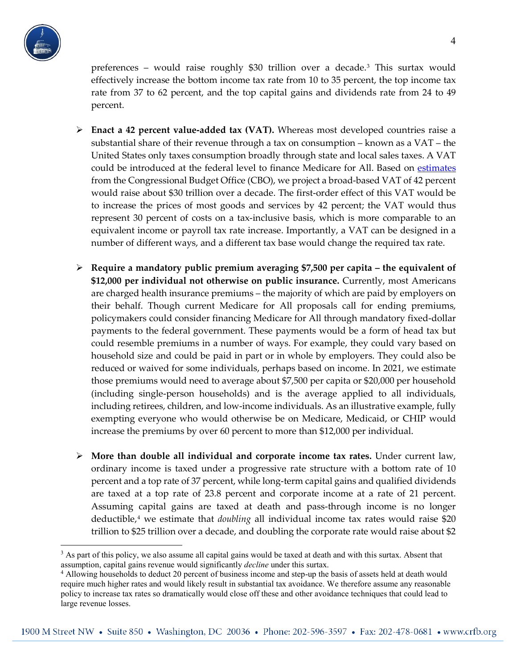

preferences – would raise roughly \$30 trillion over a decade.[3](#page-3-0) This surtax would effectively increase the bottom income tax rate from 10 to 35 percent, the top income tax rate from 37 to 62 percent, and the top capital gains and dividends rate from 24 to 49 percent.

- **Enact a 42 percent value-added tax (VAT).** Whereas most developed countries raise a substantial share of their revenue through a tax on consumption – known as a VAT – the United States only taxes consumption broadly through state and local sales taxes. A VAT could be introduced at the federal level to finance Medicare for All. Based on [estimates](https://www.cbo.gov/system/files?file=2019-06/54667-budgetoptions-RevenueOptions-2.pdf) from the Congressional Budget Office (CBO), we project a broad-based VAT of 42 percent would raise about \$30 trillion over a decade. The first-order effect of this VAT would be to increase the prices of most goods and services by 42 percent; the VAT would thus represent 30 percent of costs on a tax-inclusive basis, which is more comparable to an equivalent income or payroll tax rate increase. Importantly, a VAT can be designed in a number of different ways, and a different tax base would change the required tax rate.
- **Require a mandatory public premium averaging \$7,500 per capita – the equivalent of \$12,000 per individual not otherwise on public insurance.** Currently, most Americans are charged health insurance premiums – the majority of which are paid by employers on their behalf. Though current Medicare for All proposals call for ending premiums, policymakers could consider financing Medicare for All through mandatory fixed-dollar payments to the federal government. These payments would be a form of head tax but could resemble premiums in a number of ways. For example, they could vary based on household size and could be paid in part or in whole by employers. They could also be reduced or waived for some individuals, perhaps based on income. In 2021, we estimate those premiums would need to average about \$7,500 per capita or \$20,000 per household (including single-person households) and is the average applied to all individuals, including retirees, children, and low-income individuals. As an illustrative example, fully exempting everyone who would otherwise be on Medicare, Medicaid, or CHIP would increase the premiums by over 60 percent to more than \$12,000 per individual.
- **More than double all individual and corporate income tax rates.** Under current law, ordinary income is taxed under a progressive rate structure with a bottom rate of 10 percent and a top rate of 37 percent, while long-term capital gains and qualified dividends are taxed at a top rate of 23.8 percent and corporate income at a rate of 21 percent. Assuming capital gains are taxed at death and pass-through income is no longer deductible,[4](#page-3-1) we estimate that *doubling* all individual income tax rates would raise \$20 trillion to \$25 trillion over a decade, and doubling the corporate rate would raise about \$2

<span id="page-3-0"></span><sup>&</sup>lt;sup>3</sup> As part of this policy, we also assume all capital gains would be taxed at death and with this surtax. Absent that assumption, capital gains revenue would significantly *decline* under this surtax.

<span id="page-3-1"></span><sup>4</sup> Allowing households to deduct 20 percent of business income and step-up the basis of assets held at death would require much higher rates and would likely result in substantial tax avoidance. We therefore assume any reasonable policy to increase tax rates so dramatically would close off these and other avoidance techniques that could lead to large revenue losses.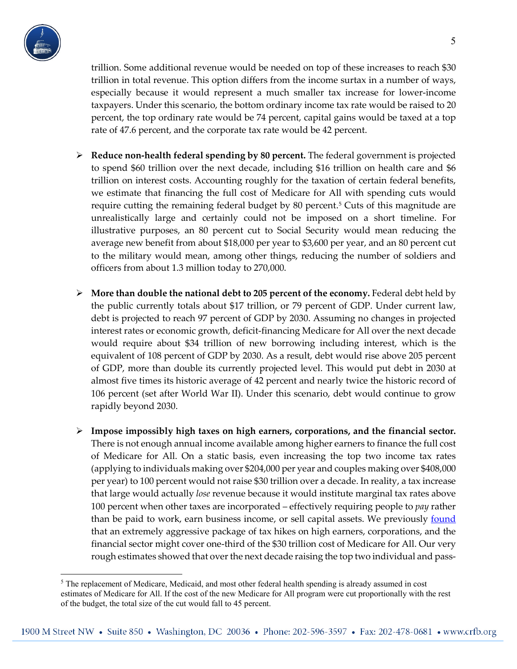

trillion. Some additional revenue would be needed on top of these increases to reach \$30 trillion in total revenue. This option differs from the income surtax in a number of ways, especially because it would represent a much smaller tax increase for lower-income taxpayers. Under this scenario, the bottom ordinary income tax rate would be raised to 20 percent, the top ordinary rate would be 74 percent, capital gains would be taxed at a top rate of 47.6 percent, and the corporate tax rate would be 42 percent.

- **Reduce non-health federal spending by 80 percent.** The federal government is projected to spend \$60 trillion over the next decade, including \$16 trillion on health care and \$6 trillion on interest costs. Accounting roughly for the taxation of certain federal benefits, we estimate that financing the full cost of Medicare for All with spending cuts would require cutting the remaining federal budget by 80 percent.<sup>5</sup> Cuts of this magnitude are unrealistically large and certainly could not be imposed on a short timeline. For illustrative purposes, an 80 percent cut to Social Security would mean reducing the average new benefit from about \$18,000 per year to \$3,600 per year, and an 80 percent cut to the military would mean, among other things, reducing the number of soldiers and officers from about 1.3 million today to 270,000.
- **More than double the national debt to 205 percent of the economy.** Federal debt held by the public currently totals about \$17 trillion, or 79 percent of GDP. Under current law, debt is projected to reach 97 percent of GDP by 2030. Assuming no changes in projected interest rates or economic growth, deficit-financing Medicare for All over the next decade would require about \$34 trillion of new borrowing including interest, which is the equivalent of 108 percent of GDP by 2030. As a result, debt would rise above 205 percent of GDP, more than double its currently projected level. This would put debt in 2030 at almost five times its historic average of 42 percent and nearly twice the historic record of 106 percent (set after World War II). Under this scenario, debt would continue to grow rapidly beyond 2030.
- **Impose impossibly high taxes on high earners, corporations, and the financial sector.**  There is not enough annual income available among higher earners to finance the full cost of Medicare for All. On a static basis, even increasing the top two income tax rates (applying to individuals making over \$204,000 per year and couples making over \$408,000 per year) to 100 percent would not raise \$30 trillion over a decade. In reality, a tax increase that large would actually *lose* revenue because it would institute marginal tax rates above 100 percent when other taxes are incorporated – effectively requiring people to *pay* rather than be paid to work, earn business income, or sell capital assets. We previously **found** that an extremely aggressive package of tax hikes on high earners, corporations, and the financial sector might cover one-third of the \$30 trillion cost of Medicare for All. Our very rough estimates showed that over the next decade raising the top two individual and pass-

<span id="page-4-0"></span><sup>&</sup>lt;sup>5</sup> The replacement of Medicare, Medicaid, and most other federal health spending is already assumed in cost estimates of Medicare for All. If the cost of the new Medicare for All program were cut proportionally with the rest of the budget, the total size of the cut would fall to 45 percent.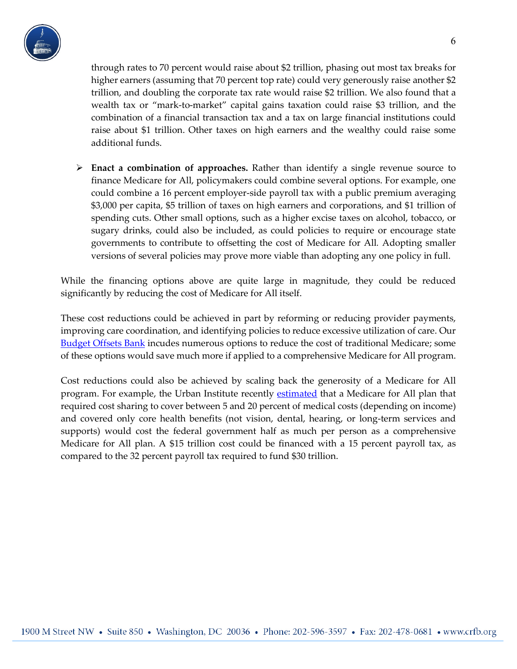

through rates to 70 percent would raise about \$2 trillion, phasing out most tax breaks for higher earners (assuming that 70 percent top rate) could very generously raise another \$2 trillion, and doubling the corporate tax rate would raise \$2 trillion. We also found that a wealth tax or "mark-to-market" capital gains taxation could raise \$3 trillion, and the combination of a financial transaction tax and a tax on large financial institutions could raise about \$1 trillion. Other taxes on high earners and the wealthy could raise some additional funds.

 **Enact a combination of approaches.** Rather than identify a single revenue source to finance Medicare for All, policymakers could combine several options. For example, one could combine a 16 percent employer-side payroll tax with a public premium averaging \$3,000 per capita, \$5 trillion of taxes on high earners and corporations, and \$1 trillion of spending cuts. Other small options, such as a higher excise taxes on alcohol, tobacco, or sugary drinks, could also be included, as could policies to require or encourage state governments to contribute to offsetting the cost of Medicare for All*.* Adopting smaller versions of several policies may prove more viable than adopting any one policy in full.

While the financing options above are quite large in magnitude, they could be reduced significantly by reducing the cost of Medicare for All itself.

These cost reductions could be achieved in part by reforming or reducing provider payments, improving care coordination, and identifying policies to reduce excessive utilization of care. Ou[r](http://www.crfb.org/offsets)  **[Budget Offsets Bank](http://www.crfb.org/offsets)** incudes numerous options to reduce the cost of traditional Medicare; some of these options would save much more if applied to a comprehensive Medicare for All program.

Cost reductions could also be achieved by scaling back the generosity of a Medicare for All program. For example, the Urban Institute recently [estimated](https://www.urban.org/sites/default/files/2019/10/15/from_incremental_to_comprehensive_health_insurance_reform-how_various_reform_options_compare_on_coverage_and_costs.pdf) that a Medicare for All plan that required cost sharing to cover between 5 and 20 percent of medical costs (depending on income) and covered only core health benefits (not vision, dental, hearing, or long-term services and supports) would cost the federal government half as much per person as a comprehensive Medicare for All plan. A \$15 trillion cost could be financed with a 15 percent payroll tax, as compared to the 32 percent payroll tax required to fund \$30 trillion.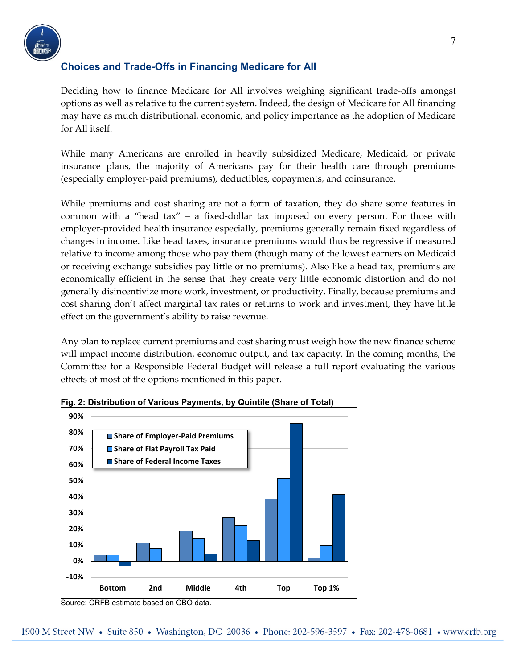

# **Choices and Trade-Offs in Financing Medicare for All**

Deciding how to finance Medicare for All involves weighing significant trade-offs amongst options as well as relative to the current system. Indeed, the design of Medicare for All financing may have as much distributional, economic, and policy importance as the adoption of Medicare for All itself.

While many Americans are enrolled in heavily subsidized Medicare, Medicaid, or private insurance plans, the majority of Americans pay for their health care through premiums (especially employer-paid premiums), deductibles, copayments, and coinsurance.

While premiums and cost sharing are not a form of taxation, they do share some features in common with a "head tax" – a fixed-dollar tax imposed on every person. For those with employer-provided health insurance especially, premiums generally remain fixed regardless of changes in income. Like head taxes, insurance premiums would thus be regressive if measured relative to income among those who pay them (though many of the lowest earners on Medicaid or receiving exchange subsidies pay little or no premiums). Also like a head tax, premiums are economically efficient in the sense that they create very little economic distortion and do not generally disincentivize more work, investment, or productivity. Finally, because premiums and cost sharing don't affect marginal tax rates or returns to work and investment, they have little effect on the government's ability to raise revenue.

Any plan to replace current premiums and cost sharing must weigh how the new finance scheme will impact income distribution, economic output, and tax capacity. In the coming months, the Committee for a Responsible Federal Budget will release a full report evaluating the various effects of most of the options mentioned in this paper.



### **Fig. 2: Distribution of Various Payments, by Quintile (Share of Total)**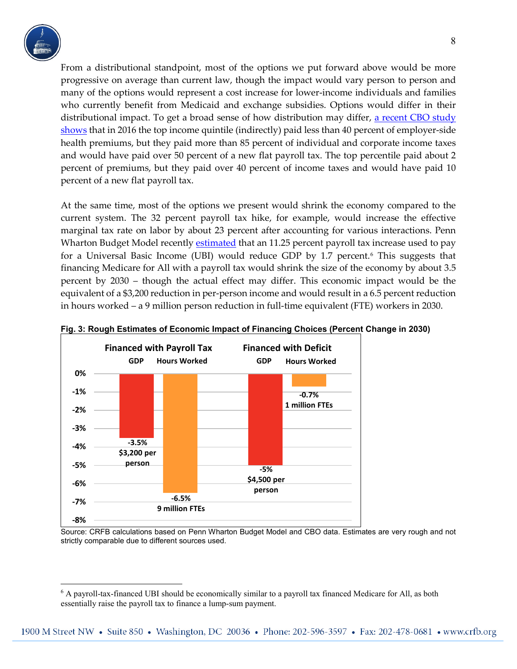

From a distributional standpoint, most of the options we put forward above would be more progressive on average than current law, though the impact would vary person to person and many of the options would represent a cost increase for lower-income individuals and families who currently benefit from Medicaid and exchange subsidies. Options would differ in their distributional impact. To get a broad sense of how distribution may differ, [a recent CBO study](https://www.cbo.gov/publication/55413) shows that in 2016 the top income quintile (indirectly) paid less than 40 percent of employer-side health premiums, but they paid more than 85 percent of individual and corporate income taxes and would have paid over 50 percent of a new flat payroll tax. The top percentile paid about 2 percent of premiums, but they paid over 40 percent of income taxes and would have paid 10 percent of a new flat payroll tax.

At the same time, most of the options we present would shrink the economy compared to the current system. The 32 percent payroll tax hike, for example, would increase the effective marginal tax rate on labor by about 23 percent after accounting for various interactions. Penn Wharton Budget Model recently [estimated](https://budgetmodel.wharton.upenn.edu/issues/2018/3/29/options-for-universal-basic-income-dynamic-modeling) that an 11.25 percent payroll tax increase used to pay for a Universal Basic Income (UBI) would reduce GDP by 1.7 percent.[6](#page-7-0) This suggests that financing Medicare for All with a payroll tax would shrink the size of the economy by about 3.5 percent by 2030 – though the actual effect may differ. This economic impact would be the equivalent of a \$3,200 reduction in per-person income and would result in a 6.5 percent reduction in hours worked – a 9 million person reduction in full-time equivalent (FTE) workers in 2030.



#### **Fig. 3: Rough Estimates of Economic Impact of Financing Choices (Percent Change in 2030)**

 Source: CRFB calculations based on Penn Wharton Budget Model and CBO data. Estimates are very rough and not strictly comparable due to different sources used.

<span id="page-7-0"></span> <sup>6</sup> A payroll-tax-financed UBI should be economically similar to a payroll tax financed Medicare for All, as both essentially raise the payroll tax to finance a lump-sum payment.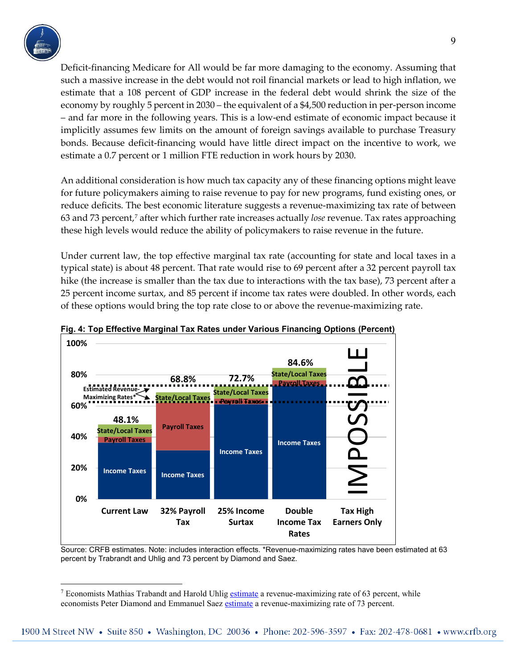

Deficit-financing Medicare for All would be far more damaging to the economy. Assuming that such a massive increase in the debt would not roil financial markets or lead to high inflation, we estimate that a 108 percent of GDP increase in the federal debt would shrink the size of the economy by roughly 5 percent in 2030 – the equivalent of a \$4,500 reduction in per-person income – and far more in the following years. This is a low-end estimate of economic impact because it implicitly assumes few limits on the amount of foreign savings available to purchase Treasury bonds. Because deficit-financing would have little direct impact on the incentive to work, we estimate a 0.7 percent or 1 million FTE reduction in work hours by 2030.

An additional consideration is how much tax capacity any of these financing options might leave for future policymakers aiming to raise revenue to pay for new programs, fund existing ones, or reduce deficits. The best economic literature suggests a revenue-maximizing tax rate of between 63 and 73 percent,[7](#page-8-0) after which further rate increases actually *lose* revenue. Tax rates approaching these high levels would reduce the ability of policymakers to raise revenue in the future.

Under current law, the top effective marginal tax rate (accounting for state and local taxes in a typical state) is about 48 percent. That rate would rise to 69 percent after a 32 percent payroll tax hike (the increase is smaller than the tax due to interactions with the tax base), 73 percent after a 25 percent income surtax, and 85 percent if income tax rates were doubled. In other words, each of these options would bring the top rate close to or above the revenue-maximizing rate.



### **Fig. 4: Top Effective Marginal Tax Rates under Various Financing Options (Percent)**

Source: CRFB estimates. Note: includes interaction effects. \*Revenue-maximizing rates have been estimated at 63 percent by Trabrandt and Uhlig and 73 percent by Diamond and Saez.

<span id="page-8-0"></span> <sup>7</sup> Economists Mathias Trabandt and Harold Uhli[g estimate](http://home.uchicago.edu/%7Ehuhlig/papers/uhlig.trabandt.jme.2011.pdf) a revenue-maximizing rate of 63 percent, while economists Peter Diamond and Emmanuel Saez [estimate](https://eml.berkeley.edu/%7Esaez/diamond-saezJEP11opttax.pdf) a revenue-maximizing rate of 73 percent.